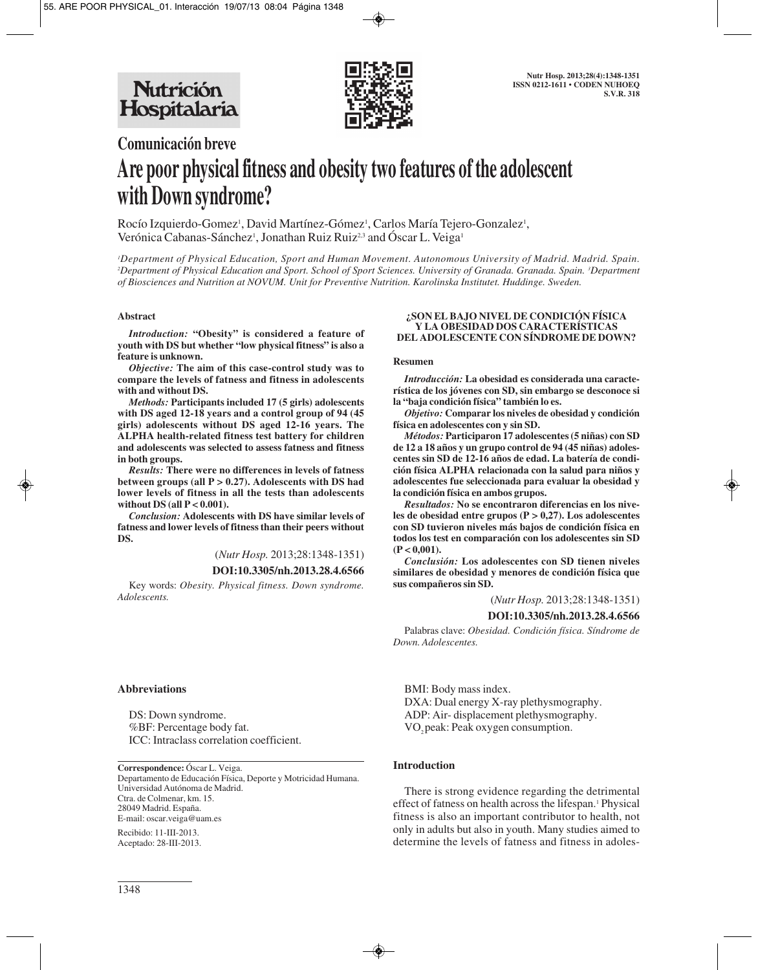

# **Comunicación breve Are poor physical fitness and obesity two features of the adolescent with Down syndrome?**

Rocío Izquierdo-Gomez<sup>1</sup>, David Martínez-Gómez<sup>1</sup>, Carlos María Tejero-Gonzalez<sup>1</sup>, Verónica Cabanas-Sánchez<sup>1</sup>, Jonathan Ruiz Ruiz<sup>2,3</sup> and Óscar L. Veiga<sup>1</sup>

*1 Department of Physical Education, Sport and Human Movement. Autonomous University of Madrid. Madrid. Spain. 2 Department of Physical Education and Sport. School of Sport Sciences. University of Granada. Granada. Spain. 3 Department of Biosciences and Nutrition at NOVUM. Unit for Preventive Nutrition. Karolinska Institutet. Huddinge. Sweden.*

## **Abstract**

*Introduction:* **"Obesity" is considered a feature of youth with DS but whether "low physical fitness" is also a feature is unknown.**

*Objective:* **The aim of this case-control study was to compare the levels of fatness and fitness in adolescents with and without DS.** 

*Methods:* **Participants included 17 (5 girls) adolescents with DS aged 12-18 years and a control group of 94 (45 girls) adolescents without DS aged 12-16 years. The ALPHA health-related fitness test battery for children and adolescents was selected to assess fatness and fitness in both groups.** 

*Results:* **There were no differences in levels of fatness between groups (all P > 0.27). Adolescents with DS had lower levels of fitness in all the tests than adolescents without DS (all P < 0.001).** 

*Conclusion:* **Adolescents with DS have similar levels of fatness and lower levels of fitness than their peers without DS.**

(*Nutr Hosp.* 2013;28:1348-1351)

### **DOI:10.3305/nh.2013.28.4.6566**

Key words: *Obesity. Physical fitness. Down syndrome. Adolescents.*

#### **¿SON EL BAJO NIVEL DE CONDICIÓN FÍSICA Y LA OBESIDAD DOS CARACTERÍSTICAS DEL ADOLESCENTE CON SÍNDROME DE DOWN?**

#### **Resumen**

*Introducción:* **La obesidad es considerada una característica de los jóvenes con SD, sin embargo se desconoce si la "baja condición física" también lo es.**

*Objetivo:* **Comparar los niveles de obesidad y condición física en adolescentes con y sin SD.**

*Métodos:* **Participaron 17 adolescentes (5 niñas) con SD de 12 a 18 años y un grupo control de 94 (45 niñas) adolescentes sin SD de 12-16 años de edad. La batería de condición física ALPHA relacionada con la salud para niños y adolescentes fue seleccionada para evaluar la obesidad y la condición física en ambos grupos.**

*Resultados:* **No se encontraron diferencias en los niveles de obesidad entre grupos (P > 0,27). Los adolescentes con SD tuvieron niveles más bajos de condición física en todos los test en comparación con los adolescentes sin SD**  $(P < 0,001)$ .

*Conclusión:* **Los adolescentes con SD tienen niveles similares de obesidad y menores de condición física que sus compañeros sin SD.**

(*Nutr Hosp.* 2013;28:1348-1351)

### **DOI:10.3305/nh.2013.28.4.6566**

Palabras clave: *Obesidad. Condición física. Síndrome de Down. Adolescentes.*

### **Abbreviations**

DS: Down syndrome. %BF: Percentage body fat. ICC: Intraclass correlation coefficient.

**Correspondence:** Óscar L. Veiga. Departamento de Educación Física, Deporte y Motricidad Humana. Universidad Autónoma de Madrid. Ctra. de Colmenar, km. 15. 28049 Madrid. España. E-mail: oscar.veiga@uam.es

Recibido: 11-III-2013. Aceptado: 28-III-2013. BMI: Body mass index. DXA: Dual energy X-ray plethysmography. ADP: Air- displacement plethysmography. VO<sub>2</sub> peak: Peak oxygen consumption.

## **Introduction**

There is strong evidence regarding the detrimental effect of fatness on health across the lifespan.<sup>1</sup> Physical fitness is also an important contributor to health, not only in adults but also in youth. Many studies aimed to determine the levels of fatness and fitness in adoles-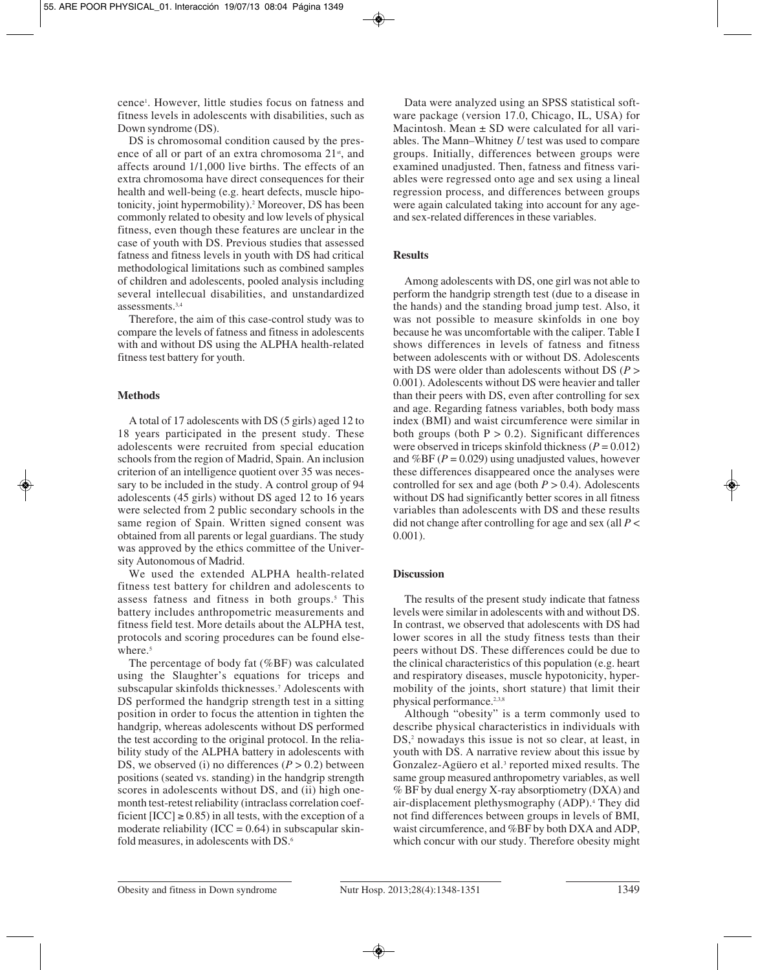cence1 . However, little studies focus on fatness and fitness levels in adolescents with disabilities, such as Down syndrome (DS).

DS is chromosomal condition caused by the presence of all or part of an extra chromosoma  $21<sup>st</sup>$ , and affects around 1/1,000 live births. The effects of an extra chromosoma have direct consequences for their health and well-being (e.g. heart defects, muscle hipotonicity, joint hypermobility).2 Moreover, DS has been commonly related to obesity and low levels of physical fitness, even though these features are unclear in the case of youth with DS. Previous studies that assessed fatness and fitness levels in youth with DS had critical methodological limitations such as combined samples of children and adolescents, pooled analysis including several intellecual disabilities, and unstandardized assessments.3,4

Therefore, the aim of this case-control study was to compare the levels of fatness and fitness in adolescents with and without DS using the ALPHA health-related fitness test battery for youth.

## **Methods**

A total of 17 adolescents with DS (5 girls) aged 12 to 18 years participated in the present study. These adolescents were recruited from special education schools from the region of Madrid, Spain. An inclusion criterion of an intelligence quotient over 35 was necessary to be included in the study. A control group of 94 adolescents (45 girls) without DS aged 12 to 16 years were selected from 2 public secondary schools in the same region of Spain. Written signed consent was obtained from all parents or legal guardians. The study was approved by the ethics committee of the University Autonomous of Madrid.

We used the extended ALPHA health-related fitness test battery for children and adolescents to assess fatness and fitness in both groups.5 This battery includes anthropometric measurements and fitness field test. More details about the ALPHA test, protocols and scoring procedures can be found elsewhere.<sup>5</sup>

The percentage of body fat (%BF) was calculated using the Slaughter's equations for triceps and subscapular skinfolds thicknesses.7 Adolescents with DS performed the handgrip strength test in a sitting position in order to focus the attention in tighten the handgrip, whereas adolescents without DS performed the test according to the original protocol. In the reliability study of the ALPHA battery in adolescents with DS, we observed (i) no differences  $(P > 0.2)$  between positions (seated vs. standing) in the handgrip strength scores in adolescents without DS, and (ii) high onemonth test-retest reliability (intraclass correlation coefficient  $[ICC] \ge 0.85$ ) in all tests, with the exception of a moderate reliability (ICC =  $0.64$ ) in subscapular skinfold measures, in adolescents with DS.6

Data were analyzed using an SPSS statistical software package (version 17.0, Chicago, IL, USA) for Macintosh. Mean  $\pm$  SD were calculated for all variables. The Mann–Whitney *U* test was used to compare groups. Initially, differences between groups were examined unadjusted. Then, fatness and fitness variables were regressed onto age and sex using a lineal regression process, and differences between groups were again calculated taking into account for any ageand sex-related differences in these variables.

# **Results**

Among adolescents with DS, one girl was not able to perform the handgrip strength test (due to a disease in the hands) and the standing broad jump test. Also, it was not possible to measure skinfolds in one boy because he was uncomfortable with the caliper. Table I shows differences in levels of fatness and fitness between adolescents with or without DS. Adolescents with DS were older than adolescents without DS (*P* > 0.001). Adolescents without DS were heavier and taller than their peers with DS, even after controlling for sex and age. Regarding fatness variables, both body mass index (BMI) and waist circumference were similar in both groups (both  $P > 0.2$ ). Significant differences were observed in triceps skinfold thickness ( $P = 0.012$ ) and %BF  $(P = 0.029)$  using unadjusted values, however these differences disappeared once the analyses were controlled for sex and age (both  $P > 0.4$ ). Adolescents without DS had significantly better scores in all fitness variables than adolescents with DS and these results did not change after controlling for age and sex (all *P* < 0.001).

## **Discussion**

The results of the present study indicate that fatness levels were similar in adolescents with and without DS. In contrast, we observed that adolescents with DS had lower scores in all the study fitness tests than their peers without DS. These differences could be due to the clinical characteristics of this population (e.g. heart and respiratory diseases, muscle hypotonicity, hypermobility of the joints, short stature) that limit their physical performance.<sup>2,3,8</sup>

Although "obesity" is a term commonly used to describe physical characteristics in individuals with DS,<sup>2</sup> nowadays this issue is not so clear, at least, in youth with DS. A narrative review about this issue by Gonzalez-Agüero et al.<sup>3</sup> reported mixed results. The same group measured anthropometry variables, as well % BF by dual energy X-ray absorptiometry (DXA) and air-displacement plethysmography (ADP).4 They did not find differences between groups in levels of BMI, waist circumference, and %BF by both DXA and ADP, which concur with our study. Therefore obesity might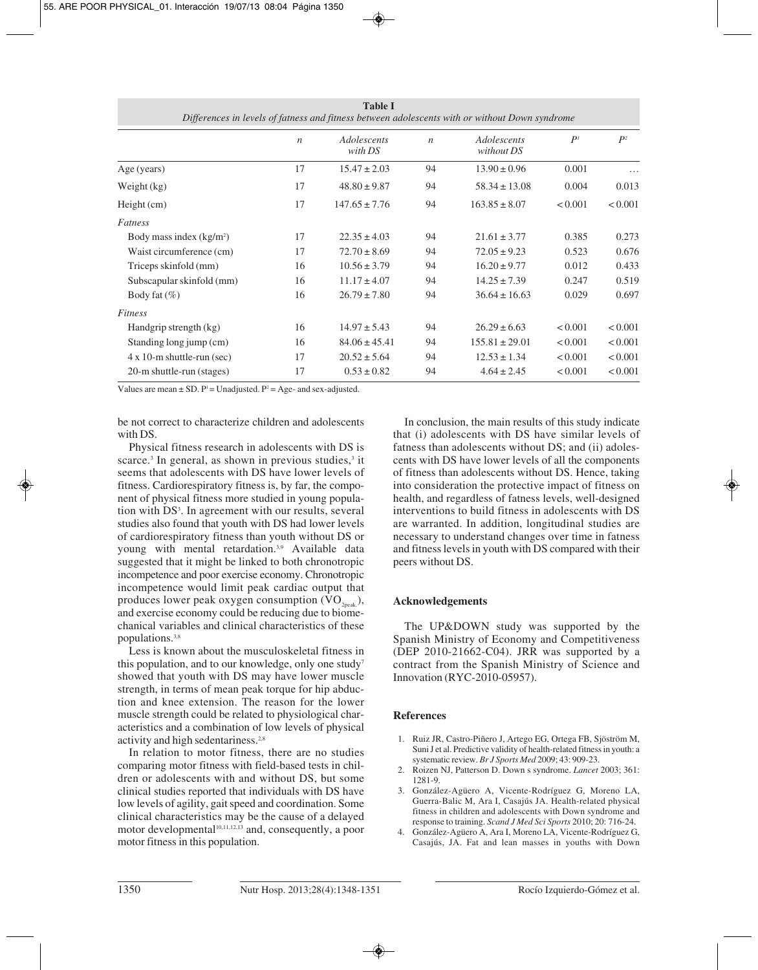| Differences in icreis of famess and finess between adolescents with or wintown Down splan ome |                  |                        |                  |                           |                |                |
|-----------------------------------------------------------------------------------------------|------------------|------------------------|------------------|---------------------------|----------------|----------------|
|                                                                                               | $\boldsymbol{n}$ | Adolescents<br>with DS | $\boldsymbol{n}$ | Adolescents<br>without DS | P <sup>1</sup> | P <sup>2</sup> |
| Age (years)                                                                                   | 17               | $15.47 \pm 2.03$       | 94               | $13.90 \pm 0.96$          | 0.001          | .              |
| Weight (kg)                                                                                   | 17               | $48.80 \pm 9.87$       | 94               | $58.34 \pm 13.08$         | 0.004          | 0.013          |
| $Height$ (cm)                                                                                 | 17               | $147.65 \pm 7.76$      | 94               | $163.85 \pm 8.07$         | < 0.001        | < 0.001        |
| Fatness                                                                                       |                  |                        |                  |                           |                |                |
| Body mass index $(kg/m2)$                                                                     | 17               | $22.35 \pm 4.03$       | 94               | $21.61 \pm 3.77$          | 0.385          | 0.273          |
| Waist circumference (cm)                                                                      | 17               | $72.70 \pm 8.69$       | 94               | $72.05 \pm 9.23$          | 0.523          | 0.676          |
| Triceps skinfold (mm)                                                                         | 16               | $10.56 \pm 3.79$       | 94               | $16.20 \pm 9.77$          | 0.012          | 0.433          |
| Subscapular skinfold (mm)                                                                     | 16               | $11.17 \pm 4.07$       | 94               | $14.25 \pm 7.39$          | 0.247          | 0.519          |
| Body fat $(\%)$                                                                               | 16               | $26.79 \pm 7.80$       | 94               | $36.64 \pm 16.63$         | 0.029          | 0.697          |
| Fitness                                                                                       |                  |                        |                  |                           |                |                |
| Handgrip strength (kg)                                                                        | 16               | $14.97 \pm 5.43$       | 94               | $26.29 \pm 6.63$          | < 0.001        | < 0.001        |
| Standing long jump (cm)                                                                       | 16               | $84.06 \pm 45.41$      | 94               | $155.81 \pm 29.01$        | < 0.001        | < 0.001        |
| $4 \times 10$ -m shuttle-run (sec)                                                            | 17               | $20.52 \pm 5.64$       | 94               | $12.53 \pm 1.34$          | < 0.001        | < 0.001        |
| 20-m shuttle-run (stages)                                                                     | 17               | $0.53 \pm 0.82$        | 94               | $4.64 \pm 2.45$           | < 0.001        | < 0.001        |

**Table I** *Differences in levels of fatness and fitness between adolescents with or without Down syndrome*

Values are mean  $\pm$  SD.  $P' =$  Unadjusted.  $P' =$  Age- and sex-adjusted.

be not correct to characterize children and adolescents with DS.

Physical fitness research in adolescents with DS is scarce.<sup>3</sup> In general, as shown in previous studies, $3$  it seems that adolescents with DS have lower levels of fitness. Cardiorespiratory fitness is, by far, the component of physical fitness more studied in young population with DS<sup>3</sup>. In agreement with our results, several studies also found that youth with DS had lower levels of cardiorespiratory fitness than youth without DS or young with mental retardation.<sup>3,9</sup> Available data suggested that it might be linked to both chronotropic incompetence and poor exercise economy. Chronotropic incompetence would limit peak cardiac output that produces lower peak oxygen consumption  $(VO_{2nest})$ , and exercise economy could be reducing due to biomechanical variables and clinical characteristics of these populations.3,8

Less is known about the musculoskeletal fitness in this population, and to our knowledge, only one study<sup>7</sup> showed that youth with DS may have lower muscle strength, in terms of mean peak torque for hip abduction and knee extension. The reason for the lower muscle strength could be related to physiological characteristics and a combination of low levels of physical activity and high sedentariness.<sup>2,8</sup>

In relation to motor fitness, there are no studies comparing motor fitness with field-based tests in children or adolescents with and without DS, but some clinical studies reported that individuals with DS have low levels of agility, gait speed and coordination. Some clinical characteristics may be the cause of a delayed motor developmental<sup>10,11,12,13</sup> and, consequently, a poor motor fitness in this population.

In conclusion, the main results of this study indicate that (i) adolescents with DS have similar levels of fatness than adolescents without DS; and (ii) adolescents with DS have lower levels of all the components of fitness than adolescents without DS. Hence, taking into consideration the protective impact of fitness on health, and regardless of fatness levels, well-designed interventions to build fitness in adolescents with DS are warranted. In addition, longitudinal studies are necessary to understand changes over time in fatness and fitness levels in youth with DS compared with their peers without DS.

# **Acknowledgements**

The UP&DOWN study was supported by the Spanish Ministry of Economy and Competitiveness (DEP 2010-21662-C04). JRR was supported by a contract from the Spanish Ministry of Science and Innovation (RYC-2010-05957).

## **References**

- 1. Ruiz JR, Castro-Piñero J, Artego EG, Ortega FB, Sjöström M, Suni J et al. Predictive validity of health-related fitness in youth: a systematic review. *Br J Sports Med* 2009; 43: 909-23.
- 2. Roizen NJ, Patterson D. Down s syndrome. *Lancet* 2003; 361: 1281-9.
- 3. González-Agüero A, Vicente-Rodríguez G, Moreno LA, Guerra-Balic M, Ara I, Casajús JA. Health-related physical fitness in children and adolescents with Down syndrome and response to training. *Scand J Med Sci Sports* 2010; 20: 716-24.
- 4. González-Agüero A, Ara I, Moreno LA, Vicente-Rodríguez G, Casajús, JA. Fat and lean masses in youths with Down